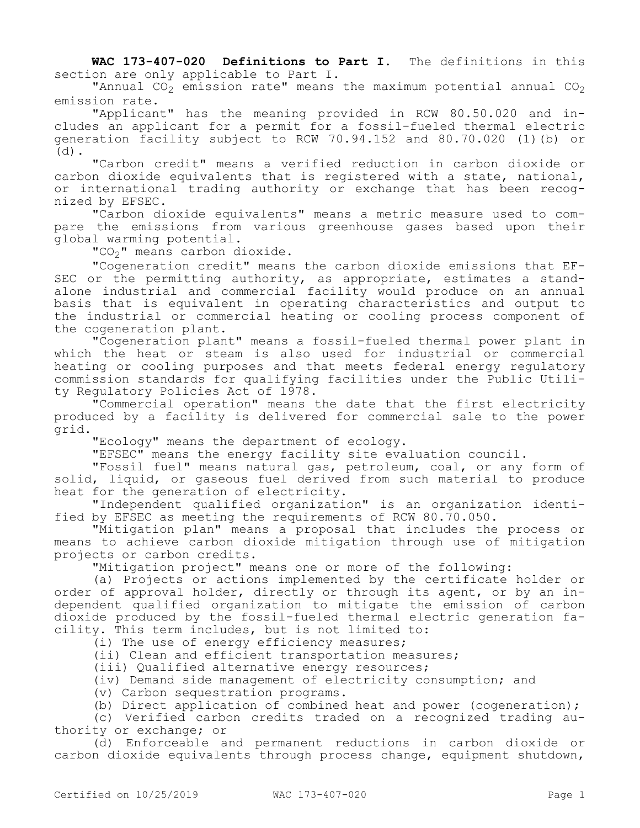**WAC 173-407-020 Definitions to Part I.** The definitions in this section are only applicable to Part I.

"Annual  $CO<sub>2</sub>$  emission rate" means the maximum potential annual  $CO<sub>2</sub>$ emission rate.

"Applicant" has the meaning provided in RCW 80.50.020 and includes an applicant for a permit for a fossil-fueled thermal electric generation facility subject to RCW 70.94.152 and 80.70.020 (1)(b) or  $(d)$ .

"Carbon credit" means a verified reduction in carbon dioxide or carbon dioxide equivalents that is registered with a state, national, or international trading authority or exchange that has been recognized by EFSEC.

"Carbon dioxide equivalents" means a metric measure used to compare the emissions from various greenhouse gases based upon their global warming potential.

"CO<sub>2</sub>" means carbon dioxide.

"Cogeneration credit" means the carbon dioxide emissions that EF-SEC or the permitting authority, as appropriate, estimates a standalone industrial and commercial facility would produce on an annual basis that is equivalent in operating characteristics and output to the industrial or commercial heating or cooling process component of the cogeneration plant.

"Cogeneration plant" means a fossil-fueled thermal power plant in which the heat or steam is also used for industrial or commercial heating or cooling purposes and that meets federal energy regulatory commission standards for qualifying facilities under the Public Utility Regulatory Policies Act of 1978.

"Commercial operation" means the date that the first electricity produced by a facility is delivered for commercial sale to the power grid.

"Ecology" means the department of ecology.

"EFSEC" means the energy facility site evaluation council.

"Fossil fuel" means natural gas, petroleum, coal, or any form of solid, liquid, or gaseous fuel derived from such material to produce heat for the generation of electricity.

"Independent qualified organization" is an organization identified by EFSEC as meeting the requirements of RCW 80.70.050.

"Mitigation plan" means a proposal that includes the process or means to achieve carbon dioxide mitigation through use of mitigation projects or carbon credits.

"Mitigation project" means one or more of the following:

(a) Projects or actions implemented by the certificate holder or order of approval holder, directly or through its agent, or by an independent qualified organization to mitigate the emission of carbon dioxide produced by the fossil-fueled thermal electric generation facility. This term includes, but is not limited to:

(i) The use of energy efficiency measures;

(ii) Clean and efficient transportation measures;

(iii) Qualified alternative energy resources;

(iv) Demand side management of electricity consumption; and

(v) Carbon sequestration programs.

(b) Direct application of combined heat and power (cogeneration);

(c) Verified carbon credits traded on a recognized trading authority or exchange; or

(d) Enforceable and permanent reductions in carbon dioxide or carbon dioxide equivalents through process change, equipment shutdown,